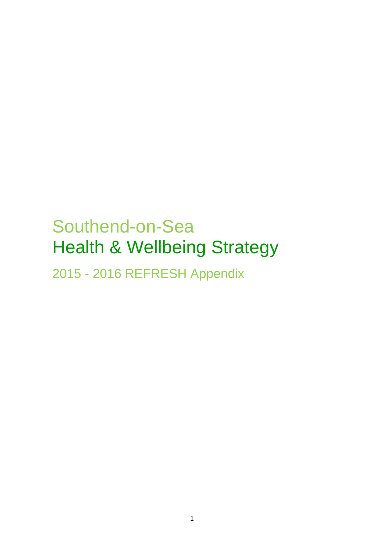# Southend-on-Sea Health & Wellbeing Strategy

2015 - 2016 REFRESH Appendix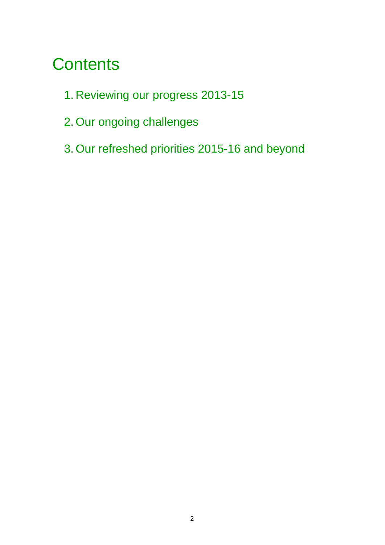# **Contents**

- 1. Reviewing our progress 2013-15
- 2. Our ongoing challenges
- 3. Our refreshed priorities 2015-16 and beyond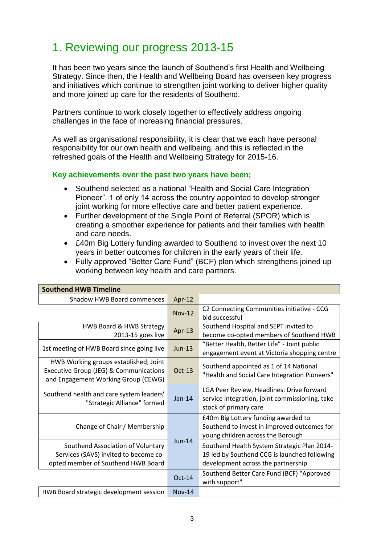# 1. Reviewing our progress 2013-15

It has been two years since the launch of Southend's first Health and Wellbeing Strategy. Since then, the Health and Wellbeing Board has overseen key progress and initiatives which continue to strengthen joint working to deliver higher quality and more joined up care for the residents of Southend.

Partners continue to work closely together to effectively address ongoing challenges in the face of increasing financial pressures.

As well as organisational responsibility, it is clear that we each have personal responsibility for our own health and wellbeing, and this is reflected in the refreshed goals of the Health and Wellbeing Strategy for 2015-16.

#### **Key achievements over the past two years have been;**

- Southend selected as a national "Health and Social Care Integration Pioneer", 1 of only 14 across the country appointed to develop stronger joint working for more effective care and better patient experience.
- Further development of the Single Point of Referral (SPOR) which is creating a smoother experience for patients and their families with health and care needs.
- £40m Big Lottery funding awarded to Southend to invest over the next 10 years in better outcomes for children in the early years of their life.
- Fully approved "Better Care Fund" (BCF) plan which strengthens joined up working between key health and care partners.

| Southend HWB Timeline                                                                                                  |               |                                                                                                                                   |
|------------------------------------------------------------------------------------------------------------------------|---------------|-----------------------------------------------------------------------------------------------------------------------------------|
| <b>Shadow HWB Board commences</b>                                                                                      | Apr-12        |                                                                                                                                   |
|                                                                                                                        | <b>Nov-12</b> | C2 Connecting Communities initiative - CCG<br>bid successful                                                                      |
| HWB Board & HWB Strategy<br>2013-15 goes live                                                                          | Apr-13        | Southend Hospital and SEPT invited to<br>become co-opted members of Southend HWB                                                  |
| 1st meeting of HWB Board since going live                                                                              | <b>Jun-13</b> | "Better Health, Better Life" - Joint public<br>engagement event at Victoria shopping centre                                       |
| HWB Working groups established; Joint<br>Executive Group (JEG) & Communications<br>and Engagement Working Group (CEWG) | $Oct-13$      | Southend appointed as 1 of 14 National<br>"Health and Social Care Integration Pioneers"                                           |
| Southend health and care system leaders'<br>"Strategic Alliance" formed                                                | $Jan-14$      | LGA Peer Review, Headlines: Drive forward<br>service integration, joint commissioning, take<br>stock of primary care              |
| Change of Chair / Membership                                                                                           | <b>Jun-14</b> | £40m Big Lottery funding awarded to<br>Southend to invest in improved outcomes for<br>young children across the Borough           |
| Southend Association of Voluntary<br>Services (SAVS) invited to become co-<br>opted member of Southend HWB Board       |               | Southend Health System Strategic Plan 2014-<br>19 led by Southend CCG is launched following<br>development across the partnership |
|                                                                                                                        | $Oct-14$      | Southend Better Care Fund (BCF) "Approved<br>with support"                                                                        |
| HWB Board strategic development session                                                                                | <b>Nov-14</b> |                                                                                                                                   |

## **Southend HWB Timeline**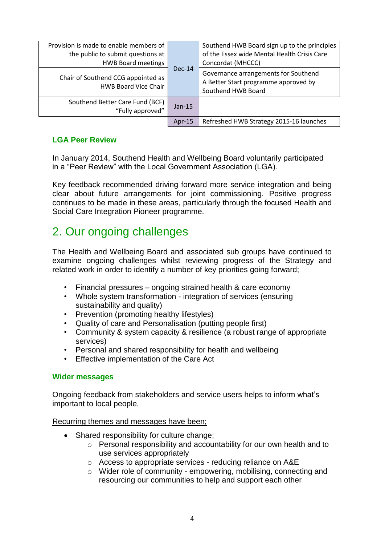| Provision is made to enable members of<br>the public to submit questions at<br><b>HWB Board meetings</b> | $Dec-14$  | Southend HWB Board sign up to the principles<br>of the Essex wide Mental Health Crisis Care<br>Concordat (MHCCC) |
|----------------------------------------------------------------------------------------------------------|-----------|------------------------------------------------------------------------------------------------------------------|
| Chair of Southend CCG appointed as<br><b>HWB Board Vice Chair</b>                                        |           | Governance arrangements for Southend<br>A Better Start programme approved by<br>Southend HWB Board               |
| Southend Better Care Fund (BCF)<br>"Fully approved"                                                      | $Jan-15$  |                                                                                                                  |
|                                                                                                          | Apr- $15$ | Refreshed HWB Strategy 2015-16 launches                                                                          |

#### **LGA Peer Review**

In January 2014, Southend Health and Wellbeing Board voluntarily participated in a "Peer Review" with the Local Government Association (LGA).

Key feedback recommended driving forward more service integration and being clear about future arrangements for joint commissioning. Positive progress continues to be made in these areas, particularly through the focused Health and Social Care Integration Pioneer programme.

# 2. Our ongoing challenges

The Health and Wellbeing Board and associated sub groups have continued to examine ongoing challenges whilst reviewing progress of the Strategy and related work in order to identify a number of key priorities going forward;

- Financial pressures ongoing strained health & care economy
- Whole system transformation integration of services (ensuring sustainability and quality)
- Prevention (promoting healthy lifestyles)
- Quality of care and Personalisation (putting people first)
- Community & system capacity & resilience (a robust range of appropriate services)
- Personal and shared responsibility for health and wellbeing
- Effective implementation of the Care Act

#### **Wider messages**

Ongoing feedback from stakeholders and service users helps to inform what's important to local people.

#### Recurring themes and messages have been;

- Shared responsibility for culture change;
	- o Personal responsibility and accountability for our own health and to use services appropriately
	- o Access to appropriate services reducing reliance on A&E
	- o Wider role of community empowering, mobilising, connecting and resourcing our communities to help and support each other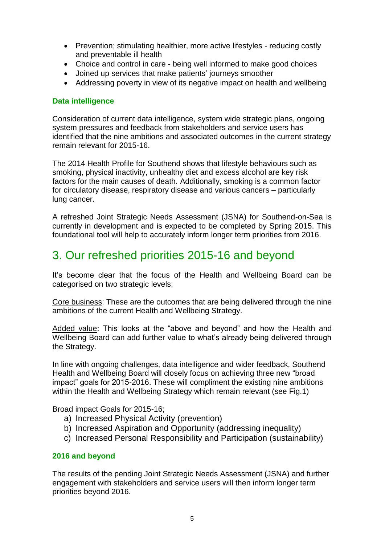- Prevention; stimulating healthier, more active lifestyles reducing costly and preventable ill health
- Choice and control in care being well informed to make good choices
- Joined up services that make patients' journeys smoother
- Addressing poverty in view of its negative impact on health and wellbeing

#### **Data intelligence**

Consideration of current data intelligence, system wide strategic plans, ongoing system pressures and feedback from stakeholders and service users has identified that the nine ambitions and associated outcomes in the current strategy remain relevant for 2015-16.

The 2014 Health Profile for Southend shows that lifestyle behaviours such as smoking, physical inactivity, unhealthy diet and excess alcohol are key risk factors for the main causes of death. Additionally, smoking is a common factor for circulatory disease, respiratory disease and various cancers – particularly lung cancer.

A refreshed Joint Strategic Needs Assessment (JSNA) for Southend-on-Sea is currently in development and is expected to be completed by Spring 2015. This foundational tool will help to accurately inform longer term priorities from 2016.

# 3. Our refreshed priorities 2015-16 and beyond

It's become clear that the focus of the Health and Wellbeing Board can be categorised on two strategic levels;

Core business: These are the outcomes that are being delivered through the nine ambitions of the current Health and Wellbeing Strategy.

Added value: This looks at the "above and beyond" and how the Health and Wellbeing Board can add further value to what's already being delivered through the Strategy.

In line with ongoing challenges, data intelligence and wider feedback, Southend Health and Wellbeing Board will closely focus on achieving three new "broad impact" goals for 2015-2016. These will compliment the existing nine ambitions within the Health and Wellbeing Strategy which remain relevant (see Fig.1)

#### Broad impact Goals for 2015-16;

- a) Increased Physical Activity (prevention)
- b) Increased Aspiration and Opportunity (addressing inequality)
- c) Increased Personal Responsibility and Participation (sustainability)

#### **2016 and beyond**

The results of the pending Joint Strategic Needs Assessment (JSNA) and further engagement with stakeholders and service users will then inform longer term priorities beyond 2016.